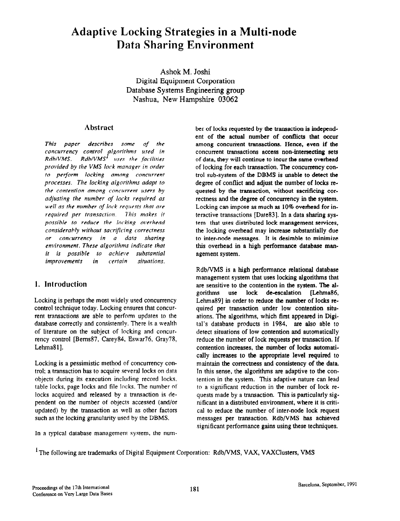# Adaptive Locking Strategies in a Multi-node Data Sharing Environment

Ashok M. Joshi Digital Equipment Corporation Database Systems Engineering group Nashua, New Hampshire 03062

#### **A** hetract

This paper describes some of the concurrency control algorithms used in Rdb/VMS. Rdb/VMS<sup>I</sup> uses the facilities provided by the VMS lock manager in order to perform locking among concurrent processes. The locking algorithms adapt to the contention among concurrent users by adjusting the number of locks required as well as the number of lock requests that are required per transaction. This makes it possible to reduce the locking overhead considerably without sacrificing correctness or concurrency in a data sharing environment. These algorithms indicate that it is possible to achieve substantial improvements in certain situations.

# 1. Introduction

Locking is perhaps the most widely used concurrency control technique today. Locking ensures that concurrent transactions are able to perform updates to the database correctly and consistently. There is a wealth of literature on the subject of locking and concurrency control [Bems87, Carey84, Eswar76, Gray78, LehmaBl].

Locking is a pessimistic method of concurrency control: a transaction has to acquire several locks on data objects during its execution including record locks, table locks, page locks and file locks, The number of locks acquired and released by a transaction is dependent on the number of objects accessed (and/or updated) by the transaction as well as other factors such as the locking granularity used by the DBMS.

ber of locks requested by the transaction is independent of the actual number of conflicts that occur among concurient transactions. Hence, even if the concurrent transactions access non-intersecting sets of data, they will continue to incur the same overhead of locking for each transaction. The concurrency control sub-system of the DBMS is unable to detect the degree of conflict and adjust the number of locks requested by the transaction, without sacrificing correctness and the degree of concurrency in the system. Locking can impose as much as  $10\%$  overhead for interactive transactions [Date83]. In a data sharing system that uses distributed lock management services, the locking overhead may increase substantially due to inter-node messages. It is desirable to minimize this overhead in a high performance database management system.

Rdb/VMS is a high performance relational database management system that uses locking algorithms that are sensitive to the contention in the system. The algorithms use lock de-escalation [Lehma86, Lehma89] in order to reduce the number of locks required per transaction under low contention situations. The algorithms, which first appeared in Digital's database products in 1984, are also able to detect situations of low contention and automatically reduce the number of lock requests per transaction. If contention increases, the number of locks automatically increases to the appropriate level required to maintain the correctness and consistency of the data. In this sense, the algorithms are adaptive to the contention in the system. This adaptive nature can lead to a significant reduction in the number of lock requests made by a transaction. This is particularly significant in a distributed environment, where it is critical to reduce the number of inter-node lock request messages per transaction. Rdb/VMS has achieved significant performance gains using these techniques.

In a typical database management system, the num-

<sup>1</sup>The following are trademarks of Digital Equipment Corporation: Rdb/VMS, VAX, VAXClusters, VMS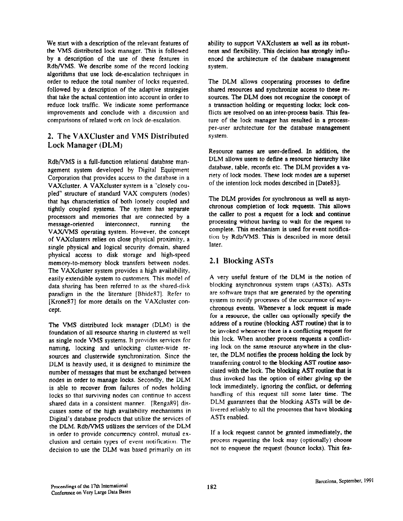We start with a description of the relevant features of the VMS distributed lock manager. This is followed by a description of the use of these features in Rdb/VMS. We describe some of the record locking algorithms that use lock de-escalation techniques in order to reduce the total number of locks requested, followed by a description of the adaptive strategies that take the actual contention into account in order to reduce lock traffic. We indicate some performance improvements and conclude with a discussion and comparisons of related work on lock de-escalation.

# 2. The VAXCluster and VMS Distributed Lock Manager (DLM)

Rdb/VMS is a full-function relational database management system developed by Digital Equipment Corporation that provides access to the database in a VAXcluster. A VAXcluster system is a "closely coupled" structure of standard VAX computers (nodes) that has characteristics of both loosely coupled and tightly coupled systems. The system has separate processors and memories that are connected by a message-oriented interconnect, running the VAXJVMS operating system. However. the concept of VAXclusters relies on close physical proximity, a single physical and logical security domain, shared physical access to disk storage and high-speed memory-to-memory block transfers between nodes. The VAXcluster system provides a high availability, easily extendible system to customers. This model of data sharing has been referred to as the shared-disk paradigm in the the literature [Bhide87]. Refer to [Krone87] for more details on the VAXcluster concept.

The VMS distributed lock manager (DLM) is the foundation of all resource sharing in clustered as well as single node VMS systems. 11 provides services for naming, locking and unlocking cluster-wide resources and clusterwide synchronization. Since the DLM is heavily used, it is designed to minimize the number of messages that must be exchanged between nodes in order to manage locks. Secondly, the DLM is able to recover from failures of nodes holding locks so that surviving nodes can continue to access shared data in a consistent manner. [Renga89] discusses some of the high availability mechanisms in Digital's database products that utilize the services of the DLM. Rdb/VMS utilizes the services of the DLM in order to provide concurrency control, mutual exclusion and certain types of event notification. The decision to use the DLM was based primarily on its ability to support VAXclusters as well as its robustness and flexibility. This decision has strongly influenced the architecture of the database management system.

The DLM allows cooperating processes to define shared resources and synchronize access to these resources. The DLM does not recognize the concept of a transaction holding or requesting locks; lock conflicts are resolved on an inter-process basis. This feature of the lock manager has resulted in a processper-user architecture for the database management system.

Resource names are user-defined. In addition, the DLM allows users to define a resource hierarchy like database, table, records etc. The DLM provides a variety of lock modes. These lock modes are a superset of the intention lock modes described in [Date83].

The DLM provides for synchronous as well as asynchronous completion of lock requests. This allows the caller to post a request for a lock and continue processing without having to wait for the request to complete. This mechanism is used for event notification by Rdb/VMS. This is described in more detail later.

# 2.1 Blocking ASTs

A very useful feature of the DLM is the notion of blocking asynchronous system traps (ASTs). ASTs are software traps that are generated by the operating system to notify processes of the occurrence of asynchronous events. Whenever a lock request is made for a resource, the caller can optionally specify the address of a routine (blocking AST routine) that is to be invoked whenever there is a conflicting request for this lock. When another process requests a conflicting lock on the same resource anywhere in the cluster, the DLM notifies the process holding the lock by transferring control to the blocking AST routine associated with the lock. The blocking AST routine that is thus invoked has the option of either giving up the lock immediately, ignoring the conflict, or deferring handling of this request till some later time. The DLM guarantees that the blocking ASTs will be delivered reliably to all the processes that have blocking ASTs enabled.

If a lock request cannot be granted immediately, the process requesting the lock may (optionally) choose not to enqueue the request (bounce locks), This fea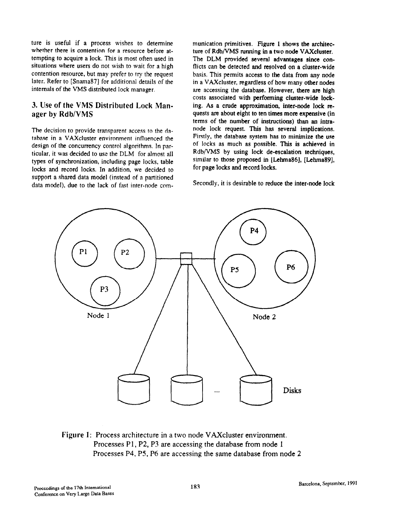ture is useful if a process wishes to determine whether there is contention for a resource before attempting to acquire a lock. This is most often used in situations where users do not wish to wait for a high contention resource, but may prefer to try the request later. Refer to [Snama87] for additional details of the internals of the VMS distributed lock manager.

## 3. Use of the VMS Distributed Lock Manager by Rdb/VMS

The decision to provide transparent access to the database in a VAXcluster environment influenced the design of the concurrency control algorithms. In particular, it was decided to use the DLM for almost all types of synchronization, including page locks, table locks and record locks. In addition, we decided to support a shared data model (instead of a partitioned data model), due to the lack of fast inter-node communication primitives. Figure 1 shows the architecture of Rdb/VMS running in a two node VAXcluster. The DLM provided several advantages since conflicts can be detected and resolved on a cluster-wide basis. This permits access to the data from any node in a VAXcluster, regardless of how many other nodes are accessing the database. However, there are high costs associated with performing cluster-wide locking. As a crude approximation, inter-node lock requests are about eight to ten times more expensive (in terms of the number of instructions) than an intranode lock request. This has several implications. Firstly, the database system has to minimize the use of locks as much as possible. This is achieved in Rdb/VMS by using lock de-escalation techniques, similar to those proposed in [Lehma86], [Lehma89], for page locks and record locks.

Secondly, it is desirable to reduce the inter-node lock



Figure 1: Process architecture in a two node VAXcluster environment. Processes Pl, P2, P3 are accessing the database from node I Processes P4, P5, P6 are accessing the same database from node 2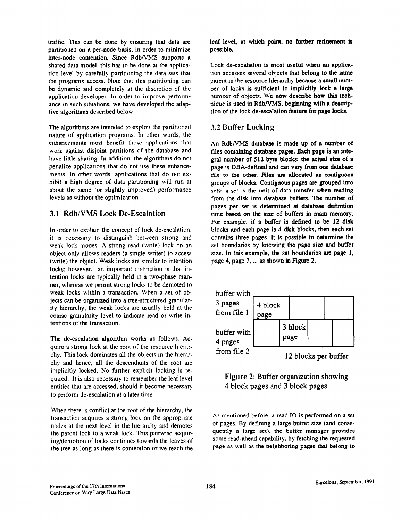traffic. This can be done by ensuring that data are partitioned on a per-node basis, in order to minimize inter-node contention. Since Rdb/VMS supports a shared data mode!, this has to be done at the application level by carefully partitioning the data sets that the programs access. Note that this partitioning can be dynamic and completely at the discretion of the application developer. In order to improve performance in such situations, we have developed the adaptive algorithms described below.

The algorithms are intended to exploit the partitioned nature of application programs. In other words, the enhancements most benefit those applications that work against disjoint partitions of the database and have little sharing. In addition, the algorithms do not penalize applications that do not use these enhancements. In other words, applications that do not exhibit a high degree of data partitioning will run at about the same (or slightly improved) performance levels as without the optimization.

# 3.1 Rdb/VMS Lock De-Escalation

In order to explain the concept of lock de-escalation, it is necessary to distinguish between strong and weak lock modes. A strong read (write) lock on an object only allows readers (a single writer) to access (write) the object. Weak locks are similar to intention locks; however, an important distinction is that intention locks are typically held in a two-phase manner, whereas we permit strong locks to be demoted to weak locks within a transaction. When a set of objects can be organized into a tree-structured granularity hierarchy, the weak locks are usually held at the coarse granularity level to indicate read or write intentions of the transaction.

The de-escalation algorithm works as follows. Acquire a strong lock at the root of the resource hierarchy. This lock dominates all the objects in the hierarchy and hence, al! the descendants of the root are implicitly locked. No further explicit locking is required. It is also necessary to remember the leaf level entities that are accessed, should it become necessary to perform de-escalation at a later time.

When there is conflict at the root of the hierarchy, the transaction acquires a strong lock on the appropriate nodes at the next level in the hierarchy and demotes the parent lock to a weak lock. This pairwise acquiring/demotion of locks continues towards the leaves of the tree as long as there is contention or we reach the

leaf level, at which point, no further refinement is possible.

Lock de-escalation is most useful when an application accesses severa! objects that belong to the same parent in the resource hierarchy because a small number of locks is sufficient to implicitly lock a large number of objects. We now describe how this technique is used in Rdb/VMS, beginning with a description of the lock de-escalation feature for page locks.

# 3.2 Buffer Locking

An Rdb/VMS database is made up of a number of files containing database pages. Each page is an integral number of 512 byte blocks, the actual size of a page is DBA-defined and can vary from one database file to the other. Files are allocated as contiguous groups of blocks. Contiguous pages are grouped Into sets; a set is the unit of data transfer when reading from the disk into database buffers. The number of pages per set is determined at database definition time based on the size of buffers in main memory. For example, if a buffer is defined to be 12 disk blocks and each page is 4 disk blocks, then each set contains three pages. It is possible to determine the set boundaries by knowing the page size and buffer size. In this example, the set boundaries are page 1, page 4, page 7, ... as shown in Figure 2.



# Figure 2: Buffer organization showing 4 block pages and 3 block pages

As mentioned before, a read IO is performed on a set of pages. By defining a large buffer size (and consequently a large set), the buffer manager provides some read-ahead capability, by fetching the requested page as we!! as the neighboring pages that belong to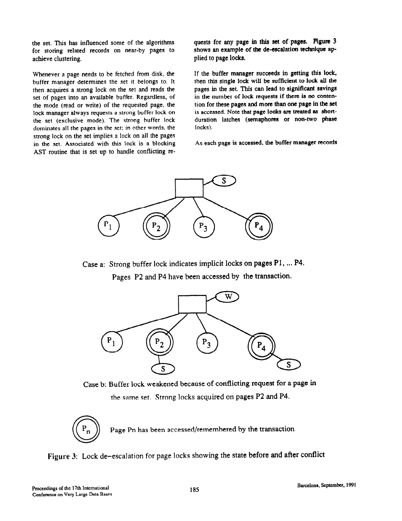for storing related records on near-by pages to shows an example of the de-escalation technique ap-<br>achieve clustering.<br>plied to page locks. achieve clustering.

Whenever a page needs to be fetched from disk, the buffer manager determines the set it belongs to. It then acquires a strong lock on the set and reads the set of pages into an available buffer. Regardless, of the mode (read or write) of the requested page, the lock manager always requests a strong buffer lock on the set (exclusive mode). The strong buffer lock dominates all the pages in the set: in other words, the strong lock on the set implies a lock on all the pages in the set. Associated with this lock is a blocking AST routine that is set up to handle conflicting re-

the set. This has influenced some of the algorithms quests for any page in this set of pages. Figure 3

If the buffer manager succeeds in getting this lock, then this single lock will be sufficient to lock all the pages in the set. This can lead to significant savings in the number of lock requests if there is no contention for these pages and more than one page in the set is accessed. Note that page locks are treated as shortduration latches (semaphores or non-two phase locks).

As each page is accessed, the buffer manager records



Case a: Strong buffer lock indicates implicit locks on pages P1, ... P4. Pages P2 and P4 have been accessed by the transaction.



Case b: Buffer lock weakened because of conflicting request for a page in the same set. Strong locks acquired on pages P2 and P4.

Page Pn has been accessed/remembered by the transaction

Figure 3: Lock de-escalation for page locks showing the state before and after conflict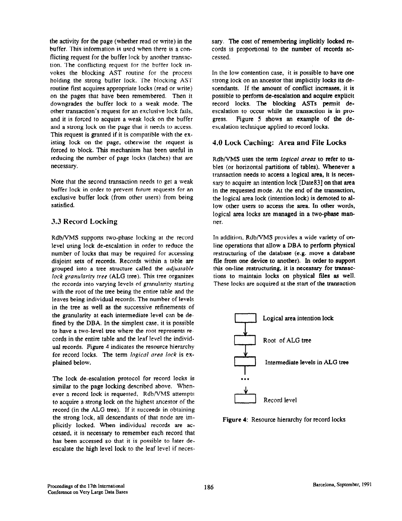the activity for the page (whether read or write) in the buffet. This information is used when there is a conflicting request for the buffer lock by another transaction. The conflicting request for the buffer lock invokes the blocking AST routine for the process holding the strong buffer lock. The blocking AST routine first acquires appropriate locks (read or write) on the pages that have been remembered. Then it downgrades the buffer lock to a weak mode. The other transaction's request for an exclusive lock fails, and it is forced to acquire a weak lock on the buffer and a strong lock on the page that it needs to access. This request is granted if it is compatible with the existing lock on the page, otherwise the request is forced to block. This mechanism has been useful in reducing the number of page locks (latches) that are necessary.

Note that the second transaction needs to get a weak buffer lock in order to prevent future requests for an exclusive buffer lock (from other users) from being satisfied.

## 3.3 Record Locking

Rdb/VMS supports two-phase locking at the record level using lock de-escalation in order to reduce the number of locks that may be required for accessing disjoint sets of records. Records within a table are grouped into a tree structure called the adjustable lock granularity tree (ALG tree). This tree organizes the records into varying levels of granularity starting with the root of the tree being the entire table and the leaves being individual records. The number of levels in the tree as well as the successive refinements of the granularity at each intermediate level can be defined by the DBA. In the simplest case, it is possible to have a two-level tree where the root represents records in the entire table and the leaf level the individual records. Figure 4 indicates the resource hierarchy for record locks. The term logical area lock is explained below.

The lock de-escalation protocol for record locks is similar to the page locking described above. Whenever a record lock is requested, Rdb/VMS attempts to acquire a strong lock on the highest ancestor of the record (in the ALG tree). If it succeeds in obtaining the strong lock, all descendants of that node are implicitly locked. When individual records are accessed, it is necessary to remember each record that has been accessed so that it is possible to later deescalate the high level lock to the leaf level if necessary. The cost of remembering implicitly locked records is proportional to the number of records accessed.

In the low contention case, it is possible to have one strong lock on an ancestor that implicitly locks its descendants. If the amount of conflict increases, it is possible to perform de-escalation and acquire explicit record locks. The blocking ASTs permit deescalation to occur while the transaction is in progress. Figure 5 shows an example of the deescalation technique applied to record locks.

#### 4.0 Lock Caching: Area and File Locks

Rdb/VMS uses the term logical areas to refer to tables (or horizontal partitions of tables). Whenever a transaction needs to access a logical area, it is necessary to acquire an intention lock [Date83] on that area in the requested mode. At the end of the transaction, the logical area lock (intention lock) is demoted to allow other users to access the area. In other words, logical area locks are managed in a two-phase manner.

In addition, Rdb/VMS provides a wide variety of online operations that aIlow a DBA to perform physical restructuring of the database (e.g. move a database file from one device to another). In order to support this on-line restructuring, it is necessary for transactions to maintain locks on physical files as well. These locks are acquired at the start of the transaction



Figure 4: Resource hierarchy for record locks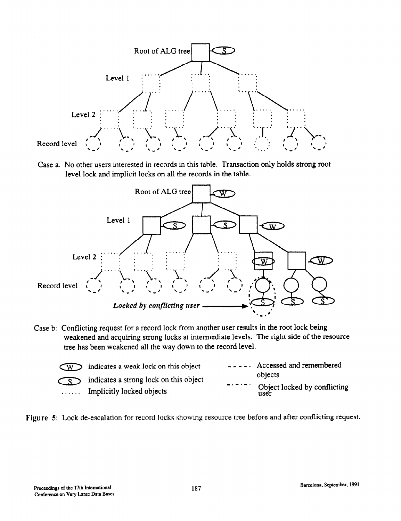

Case a. No other users interested in records in this table. Transaction only holds strong root level lock and implicit locks on all the records in the table.



Case b: Conflicting request for a record lock from another user results in the root lock being weakened and acquiring strong locks at intermediate levels. The right side of the resource tree has been weakened all the way down to the record level.

| $\overline{\text{W}}$ indicates a weak lock on this object | $---$ Accessed and remembered        |
|------------------------------------------------------------|--------------------------------------|
| $\circ$ indicates a strong lock on this object             | objects                              |
| Implicitly locked objects                                  | Object locked by conflicting<br>user |

Figure 5: Lock de-escalation for record locks showing resource tree before and after conflicting request.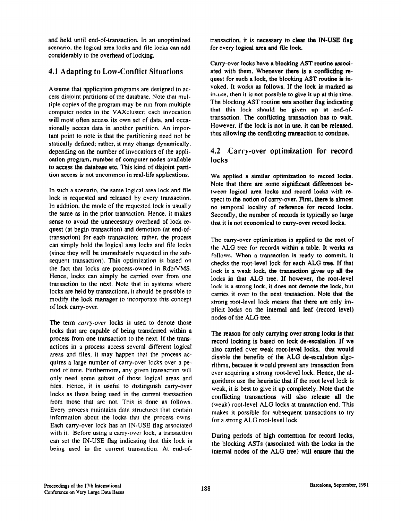and held until end-of-transaction. In an unoptimized scenario, the logical area locks and file locks can add considerably to the overhead of locking.

## 4.1 Adapting to Low-Conflict Situations

Assume that application programs are designed to access disjoint partitions of the database. Note that multiple copies of the program may be run from multiple computer nodes in the VAXcluster; each invocation will most often access its own set of data, and occasionally access data in another partition. An important point to note is that the partitioning need not be statically defined; rather, it may change dynamically, depending on the number of invocations of the application program, number of computer nodes available to access the database etc. This kind of disjoint partition access is not uncommon in real-life applications.

In such a scenario, the same logical area lock and file lock is requested and released by every transaction. In addition, the mode of the requested lock is usually the same as in the prior transaction. Hence, it makes sense to avoid the unnecessary overhead of lock request (at begin transaction) and demotion (at end-oftransaction) for each transaction: rather. the process can simply hold the logical area locks and file locks (since they will be immediately requested in the subsequent transaction). This optimization is based on the fact that locks are process-owned in Rdb/VMS. Hence, locks can simply be carried over from one transaction to the next. Note that in systems where locks are held by transactions, it should be possible to modify the lock manager to incorporate this concept of lock carry-over.

The term carry-over locks is used to denote those locks that are capable of being transferred within a process from one transaction to the next. If the transactions in a process access several different logical areas and files, it may happen that the process acquires a large number of carry-over locks over a period of time. Furthermore, any given transaction will only need some subset of those logical areas and files. Hence, it is useful to distinguish carry-over locks as those being used in the current transaction from those that are not. This is done as follows. Every process maintains data structures that contain information about the locks that the process owns. Each carry-over lock has an IN-USE flag associated with it. Before using a carry-over lock, a transaction can set the IN-USE flag indicating that this lock is being used in the current transaction. At end-oftransaction, it is necessary to clear the IN-USE flag for every logical area and file lock.

Carry-over locks have a blocking AST routine associated with them. Whenever there is a conflicting request for such a lock, the blocking AST routine is invoked. It works as follows. If the lock is marked as in-use, then it is not possible to give It up at this time. The blocking AST routine sets another flag indicating that this lock should be given up at end-oftransaction. The conflicting transaction has to wait. However, if the lock is not in use, it can be released, thus allowing the conflicting transaction to continue.

## 4.2 Carry-over optimization for record locks

We applied a similar optimization to record locks. Note that there are some significant differences between logical area locks and record locks with respect to the notion of carry-over. First, there is almost no temporal locality of reference for record locks. Secondly, the number of records is typically so large that it is not economical to carry-over record locks.

The carry-over optimization is applied to the root of the ALG tree for records within a table. It works as follows. When a transaction is ready to commit, it checks the root-level lock for each ALG tree. If that lock is a weak lock, the transaction gives up all the locks in that ALG tree. If however, the root-level lock is a strong lock, it does not demote the lock, but carries it over to the next transaction. Note that the strong root-level lock means that there are only implicit locks on the internal and leaf (record level) nodes of the ALG tree.

The reason for only carrying over strong locks is that record locking is based on lock de-escalation. If we also carried over weak root-level locks, that would disable the benefits of the ALG de-escalation algorithms, because it would prevent any transaction from ever acquiring a strong root-level lock. Hence, the algorithms use the heuristic that if the root level lock is weak, it is best to give it up completely. Note that the conflicting transactions will also release all the (weak) root-level ALG locks at transaction end. This makes it possible for subsequent transactions to try for a strong ALG root-level lock.

During periods of high contention for record locks, the blocking ASTs (associated with the locks in the internal nodes of the ALG tree) will ensure that the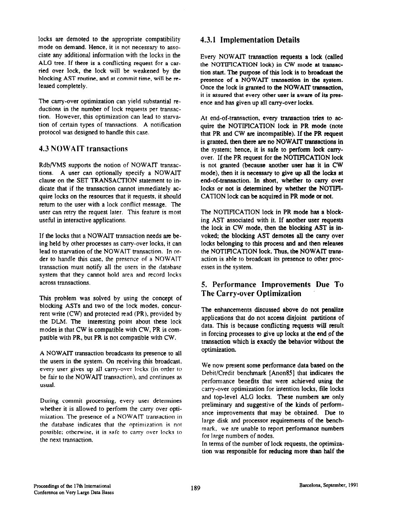locks are demoted to the appropriate compatibility mode on demand. Hence, it is not necessary to associate any additional information with the locks in the ALG tree. If there is a conflicting request for a carried over lock, the lock will be weakened by the blocking AST routine, and at commit time, will be released completely.

The carry-over optimization can yield substantial reductions in the number of lock requests per transaction. However, this optimization can lead to starvation of certain types of transactions. A notification protocol was designed to handle this case.

# 4.3 NOWAIT transactions

Rdb/VMS supports the notion of NOWAIT transactions. A user can optionally specify a NOWAIT clause on the SET TRANSACTION statement to indicate that if the transaction cannot immediately acquire locks on the resources that it requests, it should return to the user with a lock conflict message. The user can retry the request later. This feature is most useful in interactive applications.

If the locks that a NOWAIT transaction needs are being held by other processes as carry-over locks, it can lead to starvation of the NOWATT transaction. In order to handle this case, the presence of a NOWAIT transaction must notify all the users in the database system that they cannot hold area and record locks across transactions.

This problem was solved by using the concept of blocking ASTs and two of the lock modes, concurrent write (CW) and protected read (PR), provided by the DLM. The interesting point about these lock modes is that CW is compatible with CW, PR is compatible with PR, but PR is not compatible with CW.

A NOWAIT transaction broadcasts its presence to all the users in the system. On receiving this broadcast, every user gives up all carry-over locks (in order to be fair to the NOWAIT transaction), and continues as usual.

During commit processing, every user determines whether it is allowed to perform the carry over optimization. The presence of a NOWAlT transaction in the database indicates that the nptimization is not possible; otherwise, it is safe to carry over locks to the next transaction.

# 4.3.1 Implementation Details

Every NOWAIT transaction requests a lock (called the NOTIFICATION lock) in CW mode at transaction start. The purpose of this lock is to broadcast the presence of a NOWAIT transaction in the system. Once the lock is granted to the NOWAIT transaction, it is assured that every other user is aware of its presence and has given up all carry-over locks.

At end-of-transaction, every transaction tries to acquire the NOTIFICATION lock in PR mode (note that PR and CW are incompatible). If the PR request is granted, then there are no NOWAIT transactions in the system: hence, it is safe to perform lock carryover. If the PR request for the NOTIFICATION lock is not granted (because another user has it in CW mode), then it is necessary to give up all the locks at end-of-transaction. In short, whether to carry over locks or not is determined by whether the NOTIFI-CATION lock can be acquired in PR mode or not.

The NOTIFICATION lock in PR mode has a blocking AST associated with it. If another user requests the lock in CW mode, then the blocking AST is invoked, the blocking AST demotes all the carry over locks belonging to this process and and then releases the NOTIFICATION lock. Thus, the NOWAIT transaction is able to broadcast its presence to other processes in the system.

# 5. Performance Improvements Due To The Carry-over Optimization

The enhancements discussed above do not penalize applications that do not access disjoint partitions of data. This is because conflicting requests wilI result in forcing processes to give up locks at the end of the transaction which is exactly the behavior without the optimization.

We now present some performance data based on the Debit/Credit benchmark [Anon851 that indicates the performance benefits that were achieved using the carry-over optimization for intention locks, file locks and top-level ALG locks. These numbers are only preliminary and suggestive of the kinds of performance improvements that may be obtained. Due to large disk and processor requirements of the benchmark, we are unable to report performance numbers for large numbers of nodes.

In terms of the number of lock requests, the optimization was responsible for reducing more than half the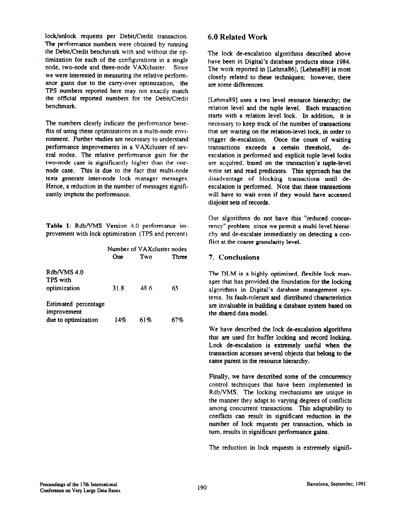lock/unlock requests per Debit/Credit transaction. The performance numbers were obtained by running the Debit/Credit benchmark with and without the optimization for each of the configurations in a single node, two-node and three-node VAXcluster. Since we were interested in measuring the relative performance gains due to the carry-over optimization, the TPS numbers reported here may not exactly match the official reported numbers for the Debit/Credit benchmark.

The numbers clearly indicate the performance benefits of using these optimizations in a multi-node environment. Further studies are necessary to understand performance improvements in a VAXcluster of several nodes. The relative performance gain for the two-node case is significantly higher than the onenode case. This is due to the fact that multi-node tests generate inter-node lock manager messages. Hence, a reduction in the number of messages significantly impacts the performance.

Table 1: Rdb/VMS Version 4.0 performance improvement with lock optimization (TPS and percent)

|                                     | Number of VAX cluster nodes |      |       |
|-------------------------------------|-----------------------------|------|-------|
|                                     | One                         | Two  | Three |
| Rdb/VMS 4.0<br>TPS with             |                             |      |       |
| optimization                        | 31.8                        | 48.6 | 65    |
| Estimated percentage<br>improvement |                             |      |       |
| due to optimization                 | 14%                         | 61%  | 67%   |

# 6.0 Related Work

The lock de-escalation algorithms described above have been in Digital's database products since 1984. The work reported in [Lehma86], [Lehma89] is most closely related to these techniques; however, there are some differences.

[Lehma89] uses a two level resource hierarchy; the relation level and the tuple level. Each transaction starts with a relation level lock. In addition, it is necessary to keep track of the number of transactions that are waiting on the relation-level lock, in order to trigger de-escalation. Once the count of waiting transactions exceeds a certain threshold, deescalation is performed and explicit tuple level locks are acquired, based on the transaction's tuple-level write set and read predicates. This approach has the disadvantage of blocking transactions until deescalation is performed. Note that these transactions will have to wait even if they would have accessed disjoint sets of records.

Our algorithms do not have this "reduced concurrency" problem since we permit a multi-level hierarchy and de-escalate immediately on detecting a conflict at the coarse granularity level.

#### 7. Conclusions

The DLM is a highly optimized, flexible lock manaper that has provided the foundation for the locking algorithms in Digital's database management systems. Its fault-tolerant and distributed characteristics are invaluable in building a database system based on the shared data model.

We have described the lock de-escalation algorithms that are used for buffer locking and record locking. Lock de-escalation is extremely useful when the transaction accesses several objects that belong to the same parent in the resource hierarchy.

Finally, we have described some of the concurrency control techniques that have been implemented in Rdb/VMS. The locking mechanisms are unique in the manner they adapt to varying degrees of conflicts among concurrent transactions. This adaptability to conflicts can result in significant reduction in the number of lock requests per transaction, which in turn, results in significant performance gains.

The reduction in lock requests is extremely signifi-